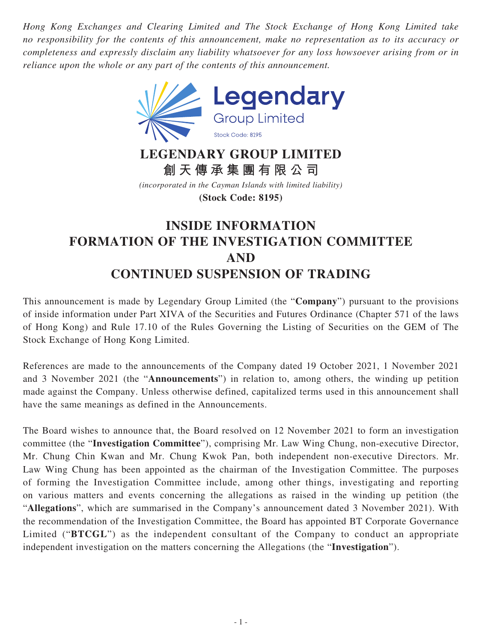*Hong Kong Exchanges and Clearing Limited and The Stock Exchange of Hong Kong Limited take no responsibility for the contents of this announcement, make no representation as to its accuracy or completeness and expressly disclaim any liability whatsoever for any loss howsoever arising from or in reliance upon the whole or any part of the contents of this announcement.*



## **LEGENDARY GROUP LIMITED 創天傳承集團有限公司**

*(incorporated in the Cayman Islands with limited liability)* **(Stock Code: 8195)**

## **INSIDE INFORMATION FORMATION OF THE INVESTIGATION COMMITTEE AND CONTINUED SUSPENSION OF TRADING**

This announcement is made by Legendary Group Limited (the "**Company**") pursuant to the provisions of inside information under Part XIVA of the Securities and Futures Ordinance (Chapter 571 of the laws of Hong Kong) and Rule 17.10 of the Rules Governing the Listing of Securities on the GEM of The Stock Exchange of Hong Kong Limited.

References are made to the announcements of the Company dated 19 October 2021, 1 November 2021 and 3 November 2021 (the "**Announcements**") in relation to, among others, the winding up petition made against the Company. Unless otherwise defined, capitalized terms used in this announcement shall have the same meanings as defined in the Announcements.

The Board wishes to announce that, the Board resolved on 12 November 2021 to form an investigation committee (the "**Investigation Committee**"), comprising Mr. Law Wing Chung, non-executive Director, Mr. Chung Chin Kwan and Mr. Chung Kwok Pan, both independent non-executive Directors. Mr. Law Wing Chung has been appointed as the chairman of the Investigation Committee. The purposes of forming the Investigation Committee include, among other things, investigating and reporting on various matters and events concerning the allegations as raised in the winding up petition (the "**Allegations**", which are summarised in the Company's announcement dated 3 November 2021). With the recommendation of the Investigation Committee, the Board has appointed BT Corporate Governance Limited ("**BTCGL**") as the independent consultant of the Company to conduct an appropriate independent investigation on the matters concerning the Allegations (the "**Investigation**").